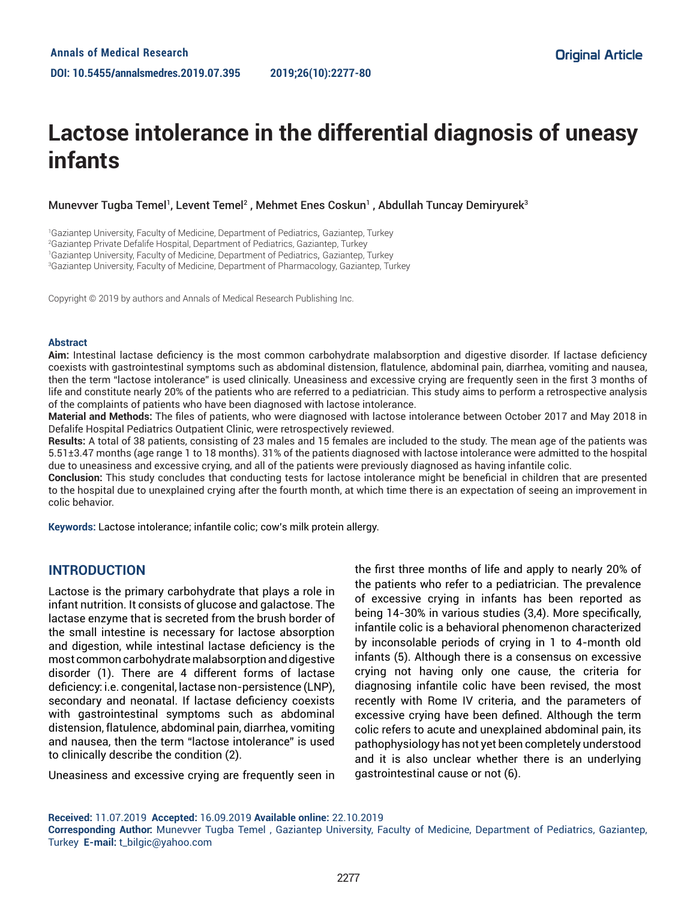# **Lactose intolerance in the differential diagnosis of uneasy infants**

Munevver Tugba Temel<sup>1</sup>, Levent Temel<sup>2</sup> , Mehmet Enes Coskun<sup>1</sup> , Abdullah Tuncay Demiryurek<sup>3</sup>

<sup>1</sup>Gaziantep University, Faculty of Medicine, Department of Pediatrics, Gaziantep, Turkey

2 Gaziantep Private Defalife Hospital, Department of Pediatrics, Gaziantep, Turkey

1 Gaziantep University, Faculty of Medicine, Department of Pediatrics, Gaziantep, Turkey

3 Gaziantep University, Faculty of Medicine, Department of Pharmacology, Gaziantep, Turkey

Copyright © 2019 by authors and Annals of Medical Research Publishing Inc.

#### **Abstract**

**Aim:** Intestinal lactase deficiency is the most common carbohydrate malabsorption and digestive disorder. If lactase deficiency coexists with gastrointestinal symptoms such as abdominal distension, flatulence, abdominal pain, diarrhea, vomiting and nausea, then the term "lactose intolerance" is used clinically. Uneasiness and excessive crying are frequently seen in the first 3 months of life and constitute nearly 20% of the patients who are referred to a pediatrician. This study aims to perform a retrospective analysis of the complaints of patients who have been diagnosed with lactose intolerance.

**Material and Methods:** The files of patients, who were diagnosed with lactose intolerance between October 2017 and May 2018 in Defalife Hospital Pediatrics Outpatient Clinic, were retrospectively reviewed.

**Results:** A total of 38 patients, consisting of 23 males and 15 females are included to the study. The mean age of the patients was 5.51±3.47 months (age range 1 to 18 months). 31% of the patients diagnosed with lactose intolerance were admitted to the hospital due to uneasiness and excessive crying, and all of the patients were previously diagnosed as having infantile colic.

**Conclusion:** This study concludes that conducting tests for lactose intolerance might be beneficial in children that are presented to the hospital due to unexplained crying after the fourth month, at which time there is an expectation of seeing an improvement in colic behavior.

**Keywords:** Lactose intolerance; infantile colic; cow's milk protein allergy.

### **INTRODUCTION**

Lactose is the primary carbohydrate that plays a role in infant nutrition. It consists of glucose and galactose. The lactase enzyme that is secreted from the brush border of the small intestine is necessary for lactose absorption and digestion, while intestinal lactase deficiency is the most common carbohydrate malabsorption and digestive disorder (1). There are 4 different forms of lactase deficiency: i.e. congenital, lactase non-persistence (LNP), secondary and neonatal. If lactase deficiency coexists with gastrointestinal symptoms such as abdominal distension, flatulence, abdominal pain, diarrhea, vomiting and nausea, then the term "lactose intolerance" is used to clinically describe the condition (2).

Uneasiness and excessive crying are frequently seen in

the first three months of life and apply to nearly 20% of the patients who refer to a pediatrician. The prevalence of excessive crying in infants has been reported as being 14-30% in various studies (3,4). More specifically, infantile colic is a behavioral phenomenon characterized by inconsolable periods of crying in 1 to 4-month old infants (5). Although there is a consensus on excessive crying not having only one cause, the criteria for diagnosing infantile colic have been revised, the most recently with Rome IV criteria, and the parameters of excessive crying have been defined. Although the term colic refers to acute and unexplained abdominal pain, its pathophysiology has not yet been completely understood and it is also unclear whether there is an underlying gastrointestinal cause or not (6).

**Received:** 11.07.2019 **Accepted:** 16.09.2019 **Available online:** 22.10.2019

**Corresponding Author:** Munevver Tugba Temel , Gaziantep University, Faculty of Medicine, Department of Pediatrics, Gaziantep, Turkey **E-mail:** t\_bilgic@yahoo.com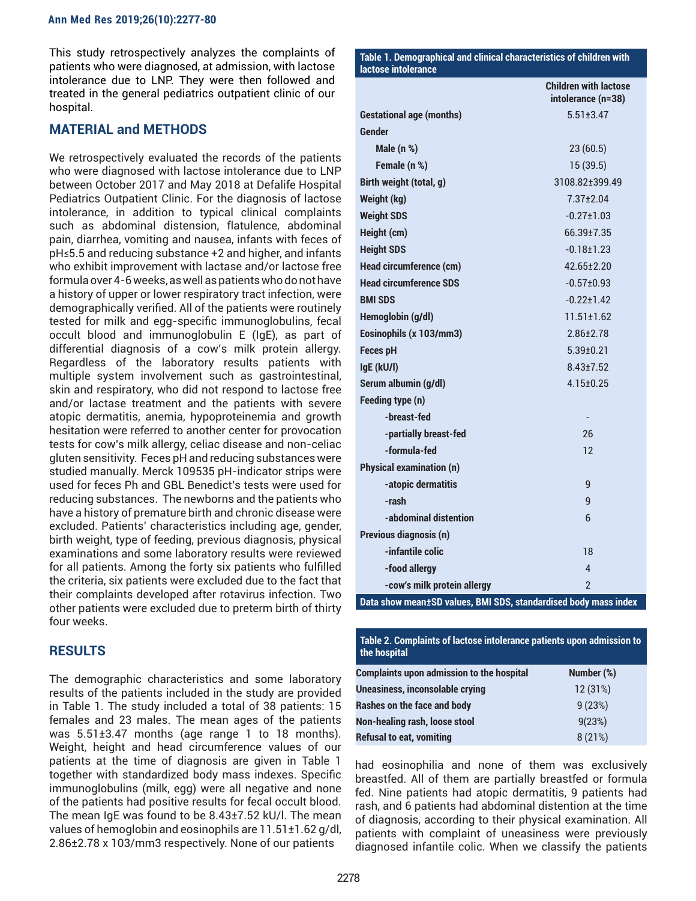This study retrospectively analyzes the complaints of patients who were diagnosed, at admission, with lactose intolerance due to LNP. They were then followed and treated in the general pediatrics outpatient clinic of our hospital.

#### **MATERIAL and METHODS**

We retrospectively evaluated the records of the patients who were diagnosed with lactose intolerance due to LNP between October 2017 and May 2018 at Defalife Hospital Pediatrics Outpatient Clinic. For the diagnosis of lactose intolerance, in addition to typical clinical complaints such as abdominal distension, flatulence, abdominal pain, diarrhea, vomiting and nausea, infants with feces of pH≤5.5 and reducing substance +2 and higher, and infants who exhibit improvement with lactase and/or lactose free formula over 4-6 weeks, as well as patients who do not have a history of upper or lower respiratory tract infection, were demographically verified. All of the patients were routinely tested for milk and egg-specific immunoglobulins, fecal occult blood and immunoglobulin E (IgE), as part of differential diagnosis of a cow's milk protein allergy. Regardless of the laboratory results patients with multiple system involvement such as gastrointestinal, skin and respiratory, who did not respond to lactose free and/or lactase treatment and the patients with severe atopic dermatitis, anemia, hypoproteinemia and growth hesitation were referred to another center for provocation tests for cow's milk allergy, celiac disease and non-celiac gluten sensitivity. Feces pH and reducing substances were studied manually. Merck 109535 pH-indicator strips were used for feces Ph and GBL Benedict's tests were used for reducing substances. The newborns and the patients who have a history of premature birth and chronic disease were excluded. Patients' characteristics including age, gender, birth weight, type of feeding, previous diagnosis, physical examinations and some laboratory results were reviewed for all patients. Among the forty six patients who fulfilled the criteria, six patients were excluded due to the fact that their complaints developed after rotavirus infection. Two other patients were excluded due to preterm birth of thirty four weeks.

### **RESULTS**

The demographic characteristics and some laboratory results of the patients included in the study are provided in Table 1. The study included a total of 38 patients: 15 females and 23 males. The mean ages of the patients was 5.51±3.47 months (age range 1 to 18 months). Weight, height and head circumference values of our patients at the time of diagnosis are given in Table 1 together with standardized body mass indexes. Specific immunoglobulins (milk, egg) were all negative and none of the patients had positive results for fecal occult blood. The mean IgE was found to be 8.43±7.52 kU/l. The mean values of hemoglobin and eosinophils are 11.51±1.62 g/dl, 2.86±2.78 x 103/mm3 respectively. None of our patients

|                                                                 | <b>Children with lactose</b><br>intolerance (n=38) |  |
|-----------------------------------------------------------------|----------------------------------------------------|--|
| <b>Gestational age (months)</b>                                 | $5.51 \pm 3.47$                                    |  |
| Gender                                                          |                                                    |  |
| Male $(n %)$                                                    | 23(60.5)                                           |  |
| Female (n %)                                                    | 15(39.5)                                           |  |
| Birth weight (total, g)                                         | 3108.82±399.49                                     |  |
| Weight (kg)                                                     | $7.37 + 2.04$                                      |  |
| <b>Weight SDS</b>                                               | $-0.27 \pm 1.03$                                   |  |
| Height (cm)                                                     | 66.39±7.35                                         |  |
| <b>Height SDS</b>                                               | $-0.18 + 1.23$                                     |  |
| <b>Head circumference (cm)</b>                                  | 42.65±2.20                                         |  |
| <b>Head circumference SDS</b>                                   | $-0.57\pm0.93$                                     |  |
| <b>BMI SDS</b>                                                  | $-0.22 \pm 1.42$                                   |  |
| Hemoglobin (g/dl)                                               | $11.51 \pm 1.62$                                   |  |
| Eosinophils (x 103/mm3)                                         | $2.86 \pm 2.78$                                    |  |
| <b>Feces pH</b>                                                 | $5.39 \pm 0.21$                                    |  |
| IgE (kU/l)                                                      | $8.43 \pm 7.52$                                    |  |
| Serum albumin (g/dl)                                            | $4.15 \pm 0.25$                                    |  |
| Feeding type (n)                                                |                                                    |  |
| -breast-fed                                                     |                                                    |  |
| -partially breast-fed                                           | 26                                                 |  |
| -formula-fed                                                    | $12 \overline{ }$                                  |  |
| <b>Physical examination (n)</b>                                 |                                                    |  |
| -atopic dermatitis                                              | 9                                                  |  |
| -rash                                                           | g                                                  |  |
| -abdominal distention                                           | 6                                                  |  |
| Previous diagnosis (n)                                          |                                                    |  |
| -infantile colic                                                | 18                                                 |  |
| -food allergy                                                   | 4                                                  |  |
| -cow's milk protein allergy                                     | $\mathfrak{p}$                                     |  |
| Data show mean±SD values, BMI SDS, standardised body mass index |                                                    |  |

**Table 1. Demographical and clinical characteristics of children with** 

**lactose intolerance** 

**Table 2. Complaints of lactose intolerance patients upon admission to the hospital** 

| <b>Complaints upon admission to the hospital</b> | Number (%) |
|--------------------------------------------------|------------|
| <b>Uneasiness, inconsolable crying</b>           | 12(31%)    |
| Rashes on the face and body                      | 9(23%)     |
| Non-healing rash, loose stool                    | 9(23%)     |
| <b>Refusal to eat, vomiting</b>                  | 8(21%)     |

had eosinophilia and none of them was exclusively breastfed. All of them are partially breastfed or formula fed. Nine patients had atopic dermatitis, 9 patients had rash, and 6 patients had abdominal distention at the time of diagnosis, according to their physical examination. All patients with complaint of uneasiness were previously diagnosed infantile colic. When we classify the patients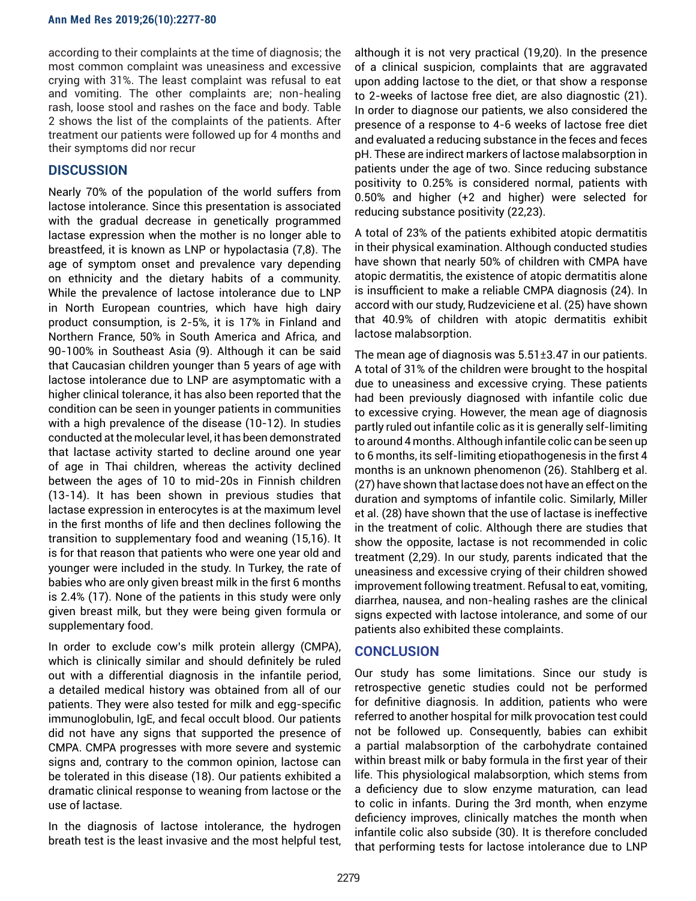according to their complaints at the time of diagnosis; the most common complaint was uneasiness and excessive crying with 31%. The least complaint was refusal to eat and vomiting. The other complaints are; non-healing rash, loose stool and rashes on the face and body. Table 2 shows the list of the complaints of the patients. After treatment our patients were followed up for 4 months and their symptoms did nor recur

## **DISCUSSION**

Nearly 70% of the population of the world suffers from lactose intolerance. Since this presentation is associated with the gradual decrease in genetically programmed lactase expression when the mother is no longer able to breastfeed, it is known as LNP or hypolactasia (7,8). The age of symptom onset and prevalence vary depending on ethnicity and the dietary habits of a community. While the prevalence of lactose intolerance due to LNP in North European countries, which have high dairy product consumption, is 2-5%, it is 17% in Finland and Northern France, 50% in South America and Africa, and 90-100% in Southeast Asia (9). Although it can be said that Caucasian children younger than 5 years of age with lactose intolerance due to LNP are asymptomatic with a higher clinical tolerance, it has also been reported that the condition can be seen in younger patients in communities with a high prevalence of the disease (10-12). In studies conducted at the molecular level, it has been demonstrated that lactase activity started to decline around one year of age in Thai children, whereas the activity declined between the ages of 10 to mid-20s in Finnish children (13-14). It has been shown in previous studies that lactase expression in enterocytes is at the maximum level in the first months of life and then declines following the transition to supplementary food and weaning (15,16). It is for that reason that patients who were one year old and younger were included in the study. In Turkey, the rate of babies who are only given breast milk in the first 6 months is 2.4% (17). None of the patients in this study were only given breast milk, but they were being given formula or supplementary food.

In order to exclude cow's milk protein allergy (CMPA), which is clinically similar and should definitely be ruled out with a differential diagnosis in the infantile period, a detailed medical history was obtained from all of our patients. They were also tested for milk and egg-specific immunoglobulin, IgE, and fecal occult blood. Our patients did not have any signs that supported the presence of CMPA. CMPA progresses with more severe and systemic signs and, contrary to the common opinion, lactose can be tolerated in this disease (18). Our patients exhibited a dramatic clinical response to weaning from lactose or the use of lactase.

In the diagnosis of lactose intolerance, the hydrogen breath test is the least invasive and the most helpful test, although it is not very practical (19,20). In the presence of a clinical suspicion, complaints that are aggravated upon adding lactose to the diet, or that show a response to 2-weeks of lactose free diet, are also diagnostic (21). In order to diagnose our patients, we also considered the presence of a response to 4-6 weeks of lactose free diet and evaluated a reducing substance in the feces and feces pH. These are indirect markers of lactose malabsorption in patients under the age of two. Since reducing substance positivity to 0.25% is considered normal, patients with 0.50% and higher (+2 and higher) were selected for reducing substance positivity (22,23).

A total of 23% of the patients exhibited atopic dermatitis in their physical examination. Although conducted studies have shown that nearly 50% of children with CMPA have atopic dermatitis, the existence of atopic dermatitis alone is insufficient to make a reliable CMPA diagnosis (24). In accord with our study, Rudzeviciene et al. (25) have shown that 40.9% of children with atopic dermatitis exhibit lactose malabsorption.

The mean age of diagnosis was 5.51±3.47 in our patients. A total of 31% of the children were brought to the hospital due to uneasiness and excessive crying. These patients had been previously diagnosed with infantile colic due to excessive crying. However, the mean age of diagnosis partly ruled out infantile colic as it is generally self-limiting to around 4 months. Although infantile colic can be seen up to 6 months, its self-limiting etiopathogenesis in the first 4 months is an unknown phenomenon (26). Stahlberg et al. (27) have shown that lactase does not have an effect on the duration and symptoms of infantile colic. Similarly, Miller et al. (28) have shown that the use of lactase is ineffective in the treatment of colic. Although there are studies that show the opposite, lactase is not recommended in colic treatment (2,29). In our study, parents indicated that the uneasiness and excessive crying of their children showed improvement following treatment. Refusal to eat, vomiting, diarrhea, nausea, and non-healing rashes are the clinical signs expected with lactose intolerance, and some of our patients also exhibited these complaints.

### **CONCLUSION**

Our study has some limitations. Since our study is retrospective genetic studies could not be performed for definitive diagnosis. In addition, patients who were referred to another hospital for milk provocation test could not be followed up. Consequently, babies can exhibit a partial malabsorption of the carbohydrate contained within breast milk or baby formula in the first year of their life. This physiological malabsorption, which stems from a deficiency due to slow enzyme maturation, can lead to colic in infants. During the 3rd month, when enzyme deficiency improves, clinically matches the month when infantile colic also subside (30). It is therefore concluded that performing tests for lactose intolerance due to LNP